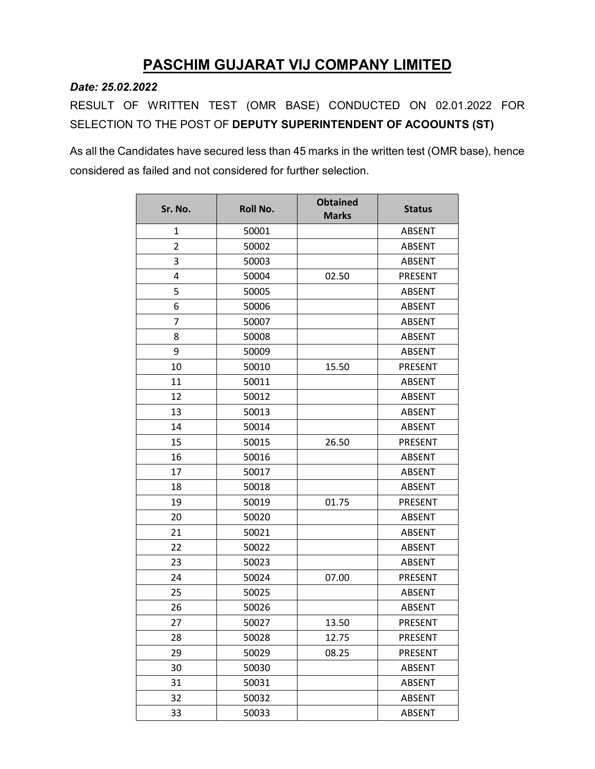## **PASCHIM GUJARAT VIJ COMPANY LIMITED**

*Date: 25.02.2022*

RESULT OF WRITTEN TEST (OMR BASE) CONDUCTED ON 02.01.2022 FOR SELECTION TO THE POST OF **DEPUTY SUPERINTENDENT OF ACOOUNTS (ST)**

As all the Candidates have secured less than 45 marks in the written test (OMR base), hence considered as failed and not considered for further selection.

| Sr. No.        | <b>Roll No.</b> | <b>Obtained</b><br><b>Marks</b> | <b>Status</b>  |
|----------------|-----------------|---------------------------------|----------------|
| 1              | 50001           |                                 | <b>ABSENT</b>  |
| $\overline{2}$ | 50002           |                                 | <b>ABSENT</b>  |
| 3              | 50003           |                                 | <b>ABSENT</b>  |
| 4              | 50004           | 02.50                           | PRESENT        |
| 5              | 50005           |                                 | <b>ABSENT</b>  |
| 6              | 50006           |                                 | <b>ABSENT</b>  |
| 7              | 50007           |                                 | <b>ABSENT</b>  |
| 8              | 50008           |                                 | <b>ABSENT</b>  |
| 9              | 50009           |                                 | <b>ABSENT</b>  |
| 10             | 50010           | 15.50                           | PRESENT        |
| 11             | 50011           |                                 | <b>ABSENT</b>  |
| 12             | 50012           |                                 | <b>ABSENT</b>  |
| 13             | 50013           |                                 | <b>ABSENT</b>  |
| 14             | 50014           |                                 | <b>ABSENT</b>  |
| 15             | 50015           | 26.50                           | <b>PRESENT</b> |
| 16             | 50016           |                                 | <b>ABSENT</b>  |
| 17             | 50017           |                                 | <b>ABSENT</b>  |
| 18             | 50018           |                                 | <b>ABSENT</b>  |
| 19             | 50019           | 01.75                           | PRESENT        |
| 20             | 50020           |                                 | <b>ABSENT</b>  |
| 21             | 50021           |                                 | <b>ABSENT</b>  |
| 22             | 50022           |                                 | <b>ABSENT</b>  |
| 23             | 50023           |                                 | <b>ABSENT</b>  |
| 24             | 50024           | 07.00                           | PRESENT        |
| 25             | 50025           |                                 | <b>ABSENT</b>  |
| 26             | 50026           |                                 | <b>ABSENT</b>  |
| 27             | 50027           | 13.50                           | <b>PRESENT</b> |
| 28             | 50028           | 12.75                           | PRESENT        |
| 29             | 50029           | 08.25                           | PRESENT        |
| 30             | 50030           |                                 | <b>ABSENT</b>  |
| 31             | 50031           |                                 | ABSENT         |
| 32             | 50032           |                                 | <b>ABSENT</b>  |
| 33             | 50033           |                                 | <b>ABSENT</b>  |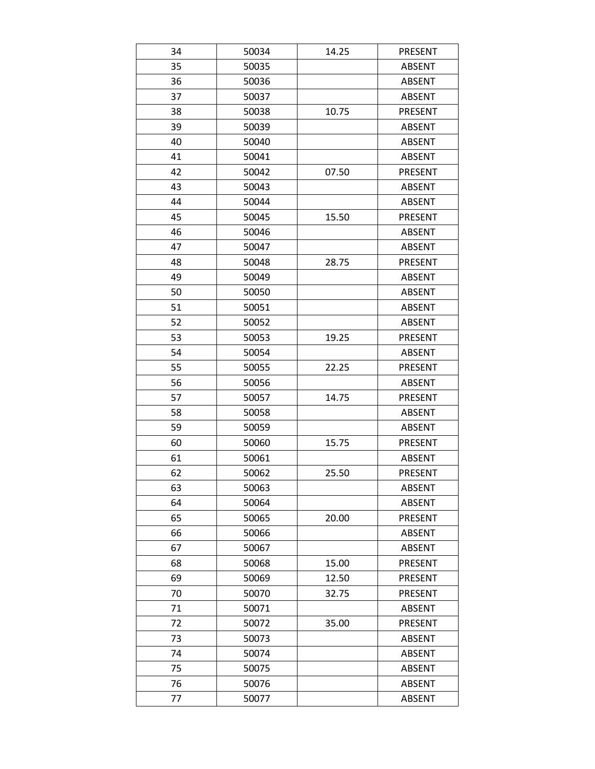| 34 | 50034 | 14.25 | PRESENT        |
|----|-------|-------|----------------|
| 35 | 50035 |       | ABSENT         |
| 36 | 50036 |       | <b>ABSENT</b>  |
| 37 | 50037 |       | <b>ABSENT</b>  |
| 38 | 50038 | 10.75 | PRESENT        |
| 39 | 50039 |       | <b>ABSENT</b>  |
| 40 | 50040 |       | <b>ABSENT</b>  |
| 41 | 50041 |       | <b>ABSENT</b>  |
| 42 | 50042 | 07.50 | PRESENT        |
| 43 | 50043 |       | <b>ABSENT</b>  |
| 44 | 50044 |       | <b>ABSENT</b>  |
| 45 | 50045 | 15.50 | <b>PRESENT</b> |
| 46 | 50046 |       | <b>ABSENT</b>  |
| 47 | 50047 |       | <b>ABSENT</b>  |
| 48 | 50048 | 28.75 | PRESENT        |
| 49 | 50049 |       | <b>ABSENT</b>  |
| 50 | 50050 |       | <b>ABSENT</b>  |
| 51 | 50051 |       | <b>ABSENT</b>  |
| 52 | 50052 |       | <b>ABSENT</b>  |
| 53 | 50053 | 19.25 | <b>PRESENT</b> |
| 54 | 50054 |       | <b>ABSENT</b>  |
| 55 | 50055 | 22.25 | PRESENT        |
| 56 | 50056 |       | <b>ABSENT</b>  |
| 57 | 50057 | 14.75 | PRESENT        |
| 58 | 50058 |       | ABSENT         |
| 59 | 50059 |       | <b>ABSENT</b>  |
| 60 | 50060 | 15.75 | PRESENT        |
| 61 | 50061 |       | <b>ABSENT</b>  |
| 62 | 50062 | 25.50 | PRESENT        |
| 63 | 50063 |       | <b>ABSENT</b>  |
| 64 | 50064 |       | <b>ABSENT</b>  |
| 65 | 50065 | 20.00 | PRESENT        |
| 66 | 50066 |       | <b>ABSENT</b>  |
| 67 | 50067 |       | ABSENT         |
| 68 | 50068 | 15.00 | PRESENT        |
| 69 | 50069 | 12.50 | PRESENT        |
| 70 | 50070 | 32.75 | PRESENT        |
| 71 | 50071 |       | ABSENT         |
| 72 | 50072 | 35.00 | PRESENT        |
| 73 | 50073 |       | <b>ABSENT</b>  |
| 74 | 50074 |       | ABSENT         |
| 75 | 50075 |       | <b>ABSENT</b>  |
| 76 | 50076 |       | <b>ABSENT</b>  |
| 77 | 50077 |       | <b>ABSENT</b>  |